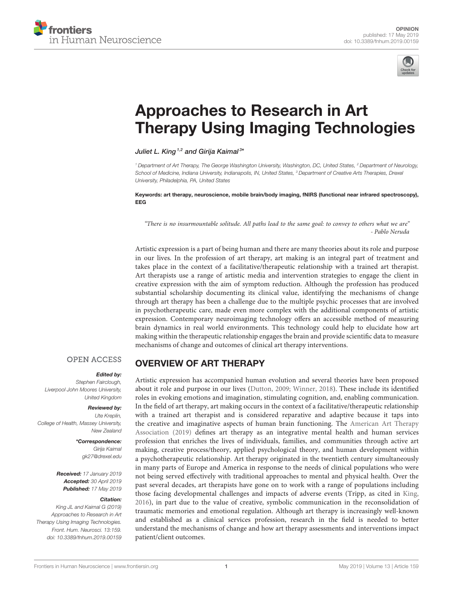



# Approaches to Research in Art [Therapy Using Imaging Technologies](https://www.frontiersin.org/articles/10.3389/fnhum.2019.00159/full)

[Juliet L. King](http://loop.frontiersin.org/people/434583/overview) <sup>1,2</sup> and [Girija Kaimal](http://loop.frontiersin.org/people/495513/overview)<sup>3\*</sup>

*<sup>1</sup> Department of Art Therapy, The George Washington University, Washington, DC, United States, <sup>2</sup> Department of Neurology, School of Medicine, Indiana University, Indianapolis, IN, United States, <sup>3</sup> Department of Creative Arts Therapies, Drexel University, Philadelphia, PA, United States*

Keywords: art therapy, neuroscience, mobile brain/body imaging, fNIRS (functional near infrared spectroscopy), EEG

"There is no insurmountable solitude. All paths lead to the same goal: to convey to others what we are" - Pablo Neruda

Artistic expression is a part of being human and there are many theories about its role and purpose in our lives. In the profession of art therapy, art making is an integral part of treatment and takes place in the context of a facilitative/therapeutic relationship with a trained art therapist. Art therapists use a range of artistic media and intervention strategies to engage the client in creative expression with the aim of symptom reduction. Although the profession has produced substantial scholarship documenting its clinical value, identifying the mechanisms of change through art therapy has been a challenge due to the multiple psychic processes that are involved in psychotherapeutic care, made even more complex with the additional components of artistic expression. Contemporary neuroimaging technology offers an accessible method of measuring brain dynamics in real world environments. This technology could help to elucidate how art making within the therapeutic relationship engages the brain and provide scientific data to measure mechanisms of change and outcomes of clinical art therapy interventions.

## **OPEN ACCESS**

#### Edited by:

*Stephen Fairclough, Liverpool John Moores University, United Kingdom*

#### Reviewed by:

*Ute Kreplin, College of Health, Massey University, New Zealand*

> \*Correspondence: *Girija Kaimal [gk27@drexel.edu](mailto:gk27@drexel.edu)*

Received: *17 January 2019* Accepted: *30 April 2019* Published: *17 May 2019*

#### Citation:

*King JL and Kaimal G (2019) Approaches to Research in Art Therapy Using Imaging Technologies. Front. Hum. Neurosci. 13:159. doi: [10.3389/fnhum.2019.00159](https://doi.org/10.3389/fnhum.2019.00159)* OVERVIEW OF ART THERAPY

Artistic expression has accompanied human evolution and several theories have been proposed about it role and purpose in our lives [\(Dutton, 2009;](#page-3-0) [Winner, 2018\)](#page-3-1). These include its identified roles in evoking emotions and imagination, stimulating cognition, and, enabling communication. In the field of art therapy, art making occurs in the context of a facilitative/therapeutic relationship with a trained art therapist and is considered reparative and adaptive because it taps into the creative and imaginative aspects of human brain functioning. The American Art Therapy Association [\(2019\)](#page-3-2) defines art therapy as an integrative mental health and human services profession that enriches the lives of individuals, families, and communities through active art making, creative process/theory, applied psychological theory, and human development within a psychotherapeutic relationship. Art therapy originated in the twentieth century simultaneously in many parts of Europe and America in response to the needs of clinical populations who were not being served effectively with traditional approaches to mental and physical health. Over the past several decades, art therapists have gone on to work with a range of populations including those facing developmental challenges and impacts of adverse events (Tripp, as cited in [King,](#page-3-3) [2016\)](#page-3-3), in part due to the value of creative, symbolic communication in the reconsolidation of traumatic memories and emotional regulation. Although art therapy is increasingly well-known and established as a clinical services profession, research in the field is needed to better understand the mechanisms of change and how art therapy assessments and interventions impact patient/client outcomes.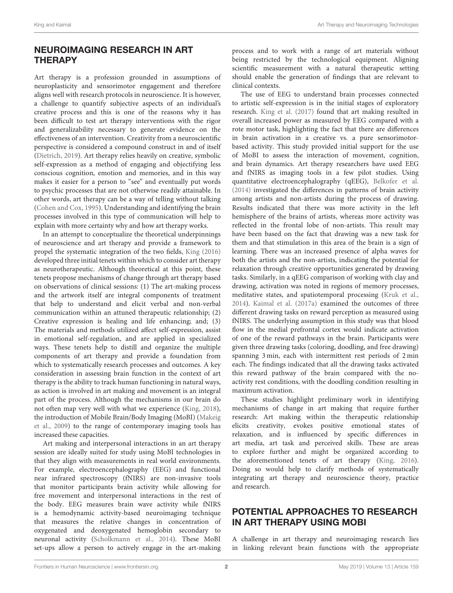# NEUROIMAGING RESEARCH IN ART **THERAPY**

Art therapy is a profession grounded in assumptions of neuroplasticity and sensorimotor engagement and therefore aligns well with research protocols in neuroscience. It is however, a challenge to quantify subjective aspects of an individual's creative process and this is one of the reasons why it has been difficult to test art therapy interventions with the rigor and generalizability necessary to generate evidence on the effectiveness of an intervention. Creativity from a neuroscientific perspective is considered a compound construct in and of itself [\(Dietrich, 2019\)](#page-3-4). Art therapy relies heavily on creative, symbolic self-expression as a method of engaging and objectifying less conscious cognition, emotion and memories, and in this way makes it easier for a person to "see" and eventually put words to psychic processes that are not otherwise readily attainable. In other words, art therapy can be a way of telling without talking [\(Cohen and Cox, 1995\)](#page-3-5). Understanding and identifying the brain processes involved in this type of communication will help to explain with more certainty why and how art therapy works.

In an attempt to conceptualize the theoretical underpinnings of neuroscience and art therapy and provide a framework to propel the systematic integration of the two fields, [King \(2016\)](#page-3-3) developed three initial tenets within which to consider art therapy as neurotherapeutic. Although theoretical at this point, these tenets propose mechanisms of change through art therapy based on observations of clinical sessions: (1) The art-making process and the artwork itself are integral components of treatment that help to understand and elicit verbal and non-verbal communication within an attuned therapeutic relationship; (2) Creative expression is healing and life enhancing; and; (3) The materials and methods utilized affect self-expression, assist in emotional self-regulation, and are applied in specialized ways. These tenets help to distill and organize the multiple components of art therapy and provide a foundation from which to systematically research processes and outcomes. A key consideration in assessing brain function in the context of art therapy is the ability to track human functioning in natural ways, as action is involved in art making and movement is an integral part of the process. Although the mechanisms in our brain do not often map very well with what we experience [\(King, 2018\)](#page-3-6), the introduction of Mobile Brain/Body Imaging (MoBI) (Makeig et al., [2009\)](#page-3-7) to the range of contemporary imaging tools has increased these capacities.

Art making and interpersonal interactions in an art therapy session are ideally suited for study using MoBI technologies in that they align with measurements in real world environments. For example, electroencephalography (EEG) and functional near infrared spectroscopy (fNIRS) are non-invasive tools that monitor participants brain activity while allowing for free movement and interpersonal interactions in the rest of the body. EEG measures brain wave activity while fNIRS is a hemodynamic activity-based neuroimaging technique that measures the relative changes in concentration of oxygenated and deoxygenated hemoglobin secondary to neuronal activity [\(Scholkmann et al., 2014\)](#page-3-8). These MoBI set-ups allow a person to actively engage in the art-making process and to work with a range of art materials without being restricted by the technological equipment. Aligning scientific measurement with a natural therapeutic setting should enable the generation of findings that are relevant to clinical contexts.

The use of EEG to understand brain processes connected to artistic self-expression is in the initial stages of exploratory research. [King et al. \(2017\)](#page-3-9) found that art making resulted in overall increased power as measured by EEG compared with a rote motor task, highlighting the fact that there are differences in brain activation in a creative vs. a pure sensorimotorbased activity. This study provided initial support for the use of MoBI to assess the interaction of movement, cognition, and brain dynamics. Art therapy researchers have used EEG and fNIRS as imaging tools in a few pilot studies. Using quantitative electroencephalography (qEEG), [Belkofer et al.](#page-3-10) [\(2014\)](#page-3-10) investigated the differences in patterns of brain activity among artists and non-artists during the process of drawing. Results indicated that there was more activity in the left hemisphere of the brains of artists, whereas more activity was reflected in the frontal lobe of non-artists. This result may have been based on the fact that drawing was a new task for them and that stimulation in this area of the brain is a sign of learning. There was an increased presence of alpha waves for both the artists and the non-artists, indicating the potential for relaxation through creative opportunities generated by drawing tasks. Similarly, in a qEEG comparison of working with clay and drawing, activation was noted in regions of memory processes, meditative states, and spatiotemporal processing [\(Kruk et al.,](#page-3-11) [2014\)](#page-3-11). [Kaimal et al. \(2017a\)](#page-3-12) examined the outcomes of three different drawing tasks on reward perception as measured using fNIRS. The underlying assumption in this study was that blood flow in the medial prefrontal cortex would indicate activation of one of the reward pathways in the brain. Participants were given three drawing tasks (coloring, doodling, and free drawing) spanning 3 min, each with intermittent rest periods of 2 min each. The findings indicated that all the drawing tasks activated this reward pathway of the brain compared with the noactivity rest conditions, with the doodling condition resulting in maximum activation.

These studies highlight preliminary work in identifying mechanisms of change in art making that require further research: Art making within the therapeutic relationship elicits creativity, evokes positive emotional states of relaxation, and is influenced by specific differences in art media, art task and perceived skills. These are areas to explore further and might be organized according to the aforementioned tenets of art therapy [\(King, 2016\)](#page-3-3). Doing so would help to clarify methods of systematically integrating art therapy and neuroscience theory, practice and research.

# POTENTIAL APPROACHES TO RESEARCH IN ART THERAPY USING MOBI

A challenge in art therapy and neuroimaging research lies in linking relevant brain functions with the appropriate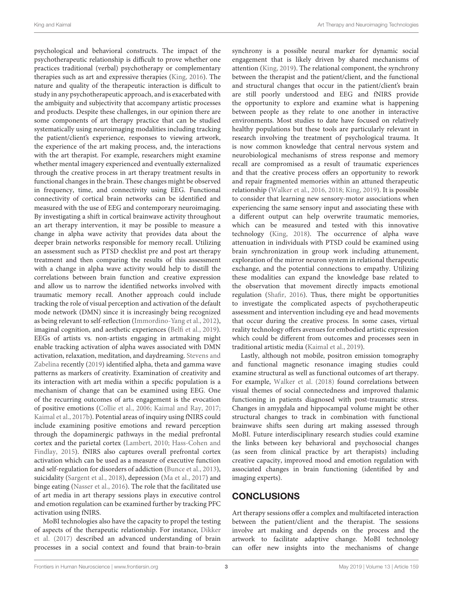psychological and behavioral constructs. The impact of the psychotherapeutic relationship is difficult to prove whether one practices traditional (verbal) psychotherapy or complementary therapies such as art and expressive therapies [\(King, 2016\)](#page-3-3). The nature and quality of the therapeutic interaction is difficult to study in any psychotherapeutic approach, and is exacerbated with the ambiguity and subjectivity that accompany artistic processes and products. Despite these challenges, in our opinion there are some components of art therapy practice that can be studied systematically using neuroimaging modalities including tracking the patient/client's experience, responses to viewing artwork, the experience of the art making process, and, the interactions with the art therapist. For example, researchers might examine whether mental imagery experienced and eventually externalized through the creative process in art therapy treatment results in functional changes in the brain. These changes might be observed in frequency, time, and connectivity using EEG. Functional connectivity of cortical brain networks can be identified and measured with the use of EEG and contemporary neuroimaging. By investigating a shift in cortical brainwave activity throughout an art therapy intervention, it may be possible to measure a change in alpha wave activity that provides data about the deeper brain networks responsible for memory recall. Utilizing an assessment such as PTSD checklist pre and post art therapy treatment and then comparing the results of this assessment with a change in alpha wave activity would help to distill the correlations between brain function and creative expression and allow us to narrow the identified networks involved with traumatic memory recall. Another approach could include tracking the role of visual perception and activation of the default mode network (DMN) since it is increasingly being recognized as being relevant to self-reflection [\(Immordino-Yang et al., 2012\)](#page-3-13), imaginal cognition, and aesthetic experiences [\(Belfi et al., 2019\)](#page-3-14). EEGs of artists vs. non-artists engaging in artmaking might enable tracking activation of alpha waves associated with DMN activation, relaxation, meditation, and daydreaming. Stevens and Zabelina recently [\(2019\)](#page-3-15) identified alpha, theta and gamma wave patterns as markers of creativity. Examination of creativity and its interaction with art media within a specific population is a mechanism of change that can be examined using EEG. One of the recurring outcomes of arts engagement is the evocation of positive emotions [\(Collie et al., 2006;](#page-3-16) [Kaimal and Ray, 2017;](#page-3-17) [Kaimal et al., 2017b\)](#page-3-18). Potential areas of inquiry using fNIRS could include examining positive emotions and reward perception through the dopaminergic pathways in the medial prefrontal cortex and the parietal cortex [\(Lambert, 2010;](#page-3-19) Hass-Cohen and Findlay, [2015\)](#page-3-20). fNIRS also captures overall prefrontal cortex activation which can be used as a measure of executive function and self-regulation for disorders of addiction [\(Bunce et al., 2013\)](#page-3-21), suicidality [\(Sargent et al., 2018\)](#page-3-22), depression [\(Ma et al., 2017\)](#page-3-23) and binge eating [\(Nasser et al., 2016\)](#page-3-24). The role that the facilitated use of art media in art therapy sessions plays in executive control and emotion regulation can be examined further by tracking PFC activation using fNIRS.

MoBI technologies also have the capacity to propel the testing of aspects of the therapeutic relationship. For instance, Dikker et al. [\(2017\)](#page-3-25) described an advanced understanding of brain processes in a social context and found that brain-to-brain synchrony is a possible neural marker for dynamic social engagement that is likely driven by shared mechanisms of attention [\(King, 2019\)](#page-3-26). The relational component, the synchrony between the therapist and the patient/client, and the functional and structural changes that occur in the patient/client's brain are still poorly understood and EEG and fNIRS provide the opportunity to explore and examine what is happening between people as they relate to one another in interactive environments. Most studies to date have focused on relatively healthy populations but these tools are particularly relevant in research involving the treatment of psychological trauma. It is now common knowledge that central nervous system and neurobiological mechanisms of stress response and memory recall are compromised as a result of traumatic experiences and that the creative process offers an opportunity to rework and repair fragmented memories within an attuned therapeutic relationship [\(Walker et al., 2016,](#page-3-27) [2018;](#page-3-28) [King, 2019\)](#page-3-26). It is possible to consider that learning new sensory-motor associations when experiencing the same sensory input and associating these with a different output can help overwrite traumatic memories, which can be measured and tested with this innovative technology [\(King, 2018\)](#page-3-6). The occurrence of alpha wave attenuation in individuals with PTSD could be examined using brain synchronization in group work including attunement, exploration of the mirror neuron system in relational therapeutic exchange, and the potential connections to empathy. Utilizing these modalities can expand the knowledge base related to the observation that movement directly impacts emotional regulation [\(Shafir, 2016\)](#page-3-29). Thus, there might be opportunities to investigate the complicated aspects of psychotherapeutic assessment and intervention including eye and head movements that occur during the creative process. In some cases, virtual reality technology offers avenues for embodied artistic expression which could be different from outcomes and processes seen in traditional artistic media [\(Kaimal et al., 2019\)](#page-3-30).

Lastly, although not mobile, positron emission tomography and functional magnetic resonance imaging studies could examine structural as well as functional outcomes of art therapy. For example, [Walker et al. \(2018\)](#page-3-28) found correlations between visual themes of social connectedness and improved thalamic functioning in patients diagnosed with post-traumatic stress. Changes in amygdala and hippocampal volume might be other structural changes to track in combination with functional brainwave shifts seen during art making assessed through MoBI. Future interdisciplinary research studies could examine the links between key behavioral and psychosocial changes (as seen from clinical practice by art therapists) including creative capacity, improved mood and emotion regulation with associated changes in brain functioning (identified by and imaging experts).

## **CONCLUSIONS**

Art therapy sessions offer a complex and multifaceted interaction between the patient/client and the therapist. The sessions involve art making and depends on the process and the artwork to facilitate adaptive change. MoBI technology can offer new insights into the mechanisms of change